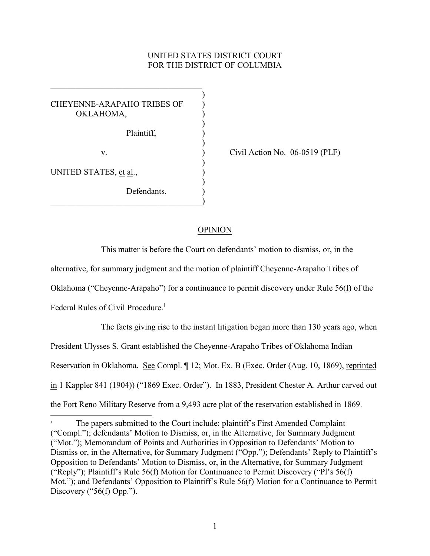# UNITED STATES DISTRICT COURT FOR THE DISTRICT OF COLUMBIA

) CHEYENNE-ARAPAHO TRIBES OF ) OKLAHOMA. ) Plaintiff, ) ) ) UNITED STATES, et al., ) Defendants  $\hspace{.5em}$   $\hspace{.5em}$   $\hspace{.5em}$   $\hspace{.5em}$   $\hspace{.5em}$   $\hspace{.5em}$   $\hspace{.5em}$   $\hspace{.5em}$   $\hspace{.5em}$   $\hspace{.5em}$   $\hspace{.5em}$   $\hspace{.5em}$   $\hspace{.5em}$   $\hspace{.5em}$   $\hspace{.5em}$   $\hspace{.5em}$   $\hspace{.5em}$   $\hspace{.5em}$   $\hspace{.5em}$   $\hspace{.5em}$ 

\_\_\_\_\_\_\_\_\_\_\_\_\_\_\_\_\_\_\_\_\_\_\_\_\_\_\_\_\_\_\_\_\_\_\_\_

v. ) Civil Action No. 06-0519 (PLF)

### OPINION

This matter is before the Court on defendants' motion to dismiss, or, in the alternative, for summary judgment and the motion of plaintiff Cheyenne-Arapaho Tribes of Oklahoma ("Cheyenne-Arapaho") for a continuance to permit discovery under Rule 56(f) of the Federal Rules of Civil Procedure.<sup>1</sup>

The facts giving rise to the instant litigation began more than 130 years ago, when President Ulysses S. Grant established the Cheyenne-Arapaho Tribes of Oklahoma Indian Reservation in Oklahoma. See Compl. ¶ 12; Mot. Ex. B (Exec. Order (Aug. 10, 1869), reprinted in 1 Kappler 841 (1904)) ("1869 Exec. Order"). In 1883, President Chester A. Arthur carved out the Fort Reno Military Reserve from a 9,493 acre plot of the reservation established in 1869.

The papers submitted to the Court include: plaintiff's First Amended Complaint <sup>1</sup> ("Compl."); defendants' Motion to Dismiss, or, in the Alternative, for Summary Judgment ("Mot."); Memorandum of Points and Authorities in Opposition to Defendants' Motion to Dismiss or, in the Alternative, for Summary Judgment ("Opp."); Defendants' Reply to Plaintiff's Opposition to Defendants' Motion to Dismiss, or, in the Alternative, for Summary Judgment ("Reply"); Plaintiff's Rule 56(f) Motion for Continuance to Permit Discovery ("Pl's 56(f) Mot."); and Defendants' Opposition to Plaintiff's Rule 56(f) Motion for a Continuance to Permit Discovery ("56(f) Opp.").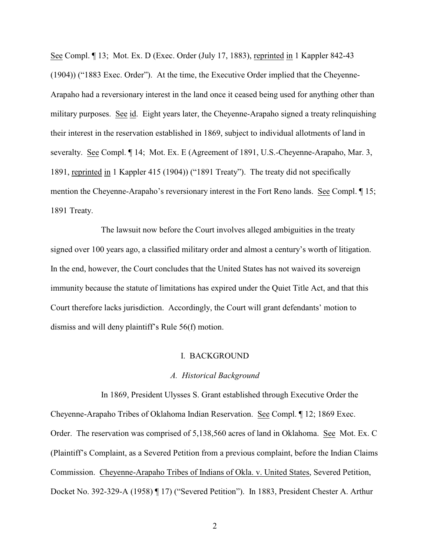See Compl. ¶ 13; Mot. Ex. D (Exec. Order (July 17, 1883), reprinted in 1 Kappler 842-43 (1904)) ("1883 Exec. Order"). At the time, the Executive Order implied that the Cheyenne-Arapaho had a reversionary interest in the land once it ceased being used for anything other than military purposes. See id. Eight years later, the Cheyenne-Arapaho signed a treaty relinquishing their interest in the reservation established in 1869, subject to individual allotments of land in severalty. See Compl. ¶ 14; Mot. Ex. E (Agreement of 1891, U.S.-Cheyenne-Arapaho, Mar. 3, 1891, reprinted in 1 Kappler 415 (1904)) ("1891 Treaty"). The treaty did not specifically mention the Cheyenne-Arapaho's reversionary interest in the Fort Reno lands. See Compl. ¶ 15; 1891 Treaty.

The lawsuit now before the Court involves alleged ambiguities in the treaty signed over 100 years ago, a classified military order and almost a century's worth of litigation. In the end, however, the Court concludes that the United States has not waived its sovereign immunity because the statute of limitations has expired under the Quiet Title Act, and that this Court therefore lacks jurisdiction. Accordingly, the Court will grant defendants' motion to dismiss and will deny plaintiff's Rule 56(f) motion.

#### I. BACKGROUND

## *A. Historical Background*

In 1869, President Ulysses S. Grant established through Executive Order the Cheyenne-Arapaho Tribes of Oklahoma Indian Reservation. See Compl. ¶ 12; 1869 Exec. Order. The reservation was comprised of 5,138,560 acres of land in Oklahoma. See Mot. Ex. C (Plaintiff's Complaint, as a Severed Petition from a previous complaint, before the Indian Claims Commission. Cheyenne-Arapaho Tribes of Indians of Okla. v. United States, Severed Petition, Docket No. 392-329-A (1958) ¶ 17) ("Severed Petition"). In 1883, President Chester A. Arthur

2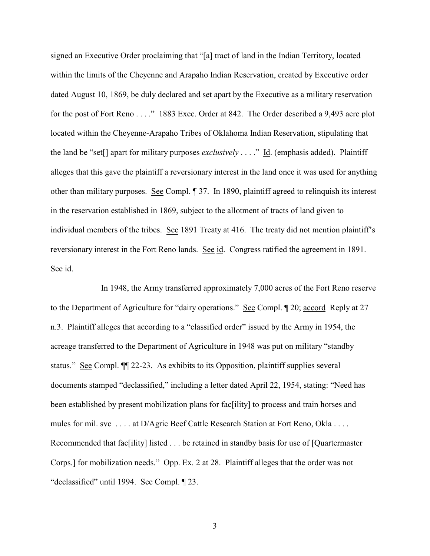signed an Executive Order proclaiming that "[a] tract of land in the Indian Territory, located within the limits of the Cheyenne and Arapaho Indian Reservation, created by Executive order dated August 10, 1869, be duly declared and set apart by the Executive as a military reservation for the post of Fort Reno . . . ." 1883 Exec. Order at 842. The Order described a 9,493 acre plot located within the Cheyenne-Arapaho Tribes of Oklahoma Indian Reservation, stipulating that the land be "set[] apart for military purposes *exclusively* . . . ." Id. (emphasis added). Plaintiff alleges that this gave the plaintiff a reversionary interest in the land once it was used for anything other than military purposes. See Compl. ¶ 37. In 1890, plaintiff agreed to relinquish its interest in the reservation established in 1869, subject to the allotment of tracts of land given to individual members of the tribes. See 1891 Treaty at 416. The treaty did not mention plaintiff's reversionary interest in the Fort Reno lands. See id. Congress ratified the agreement in 1891. See id.

In 1948, the Army transferred approximately 7,000 acres of the Fort Reno reserve to the Department of Agriculture for "dairy operations." See Compl. ¶ 20; accord Reply at 27 n.3. Plaintiff alleges that according to a "classified order" issued by the Army in 1954, the acreage transferred to the Department of Agriculture in 1948 was put on military "standby status." See Compl. ¶¶ 22-23. As exhibits to its Opposition, plaintiff supplies several documents stamped "declassified," including a letter dated April 22, 1954, stating: "Need has been established by present mobilization plans for fac[ility] to process and train horses and mules for mil. svc . . . . at D/Agric Beef Cattle Research Station at Fort Reno, Okla . . . . Recommended that fac[ility] listed . . . be retained in standby basis for use of [Quartermaster Corps.] for mobilization needs." Opp. Ex. 2 at 28. Plaintiff alleges that the order was not "declassified" until 1994. See Compl. ¶ 23.

3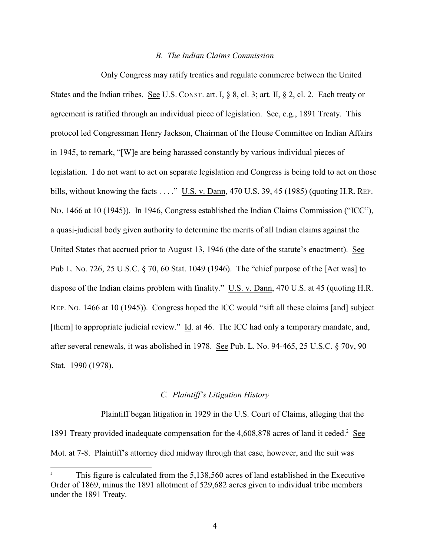#### *B. The Indian Claims Commission*

Only Congress may ratify treaties and regulate commerce between the United States and the Indian tribes. See U.S. CONST. art. I, § 8, cl. 3; art. II, § 2, cl. 2. Each treaty or agreement is ratified through an individual piece of legislation. See, e.g., 1891 Treaty. This protocol led Congressman Henry Jackson, Chairman of the House Committee on Indian Affairs in 1945, to remark, "[W]e are being harassed constantly by various individual pieces of legislation. I do not want to act on separate legislation and Congress is being told to act on those bills, without knowing the facts . . . ." U.S. v. Dann, 470 U.S. 39, 45 (1985) (quoting H.R. REP. NO. 1466 at 10 (1945)). In 1946, Congress established the Indian Claims Commission ("ICC"), a quasi-judicial body given authority to determine the merits of all Indian claims against the United States that accrued prior to August 13, 1946 (the date of the statute's enactment). See Pub L. No. 726, 25 U.S.C. § 70, 60 Stat. 1049 (1946). The "chief purpose of the [Act was] to dispose of the Indian claims problem with finality." U.S. v. Dann, 470 U.S. at 45 (quoting H.R. REP. NO. 1466 at 10 (1945)). Congress hoped the ICC would "sift all these claims [and] subject [them] to appropriate judicial review." Id. at 46. The ICC had only a temporary mandate, and, after several renewals, it was abolished in 1978. See Pub. L. No. 94-465, 25 U.S.C. § 70v, 90 Stat. 1990 (1978).

## *C. Plaintiff's Litigation History*

Plaintiff began litigation in 1929 in the U.S. Court of Claims, alleging that the 1891 Treaty provided inadequate compensation for the  $4,608,878$  acres of land it ceded.<sup>2</sup> See Mot. at 7-8. Plaintiff's attorney died midway through that case, however, and the suit was

This figure is calculated from the 5,138,560 acres of land established in the Executive Order of 1869, minus the 1891 allotment of 529,682 acres given to individual tribe members under the 1891 Treaty.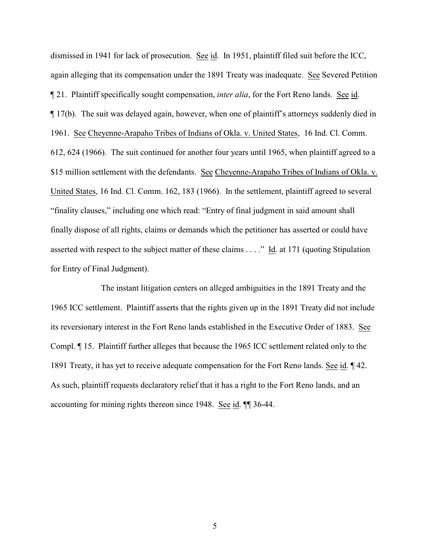dismissed in 1941 for lack of prosecution. See id. In 1951, plaintiff filed suit before the ICC, again alleging that its compensation under the 1891 Treaty was inadequate. See Severed Petition ¶ 21. Plaintiff specifically sought compensation, *inter alia*, for the Fort Reno lands. See id. ¶ 17(b). The suit was delayed again, however, when one of plaintiff's attorneys suddenly died in 1961. See Cheyenne-Arapaho Tribes of Indians of Okla. v. United States, 16 Ind. Cl. Comm. 612, 624 (1966). The suit continued for another four years until 1965, when plaintiff agreed to a \$15 million settlement with the defendants. See Cheyenne-Arapaho Tribes of Indians of Okla. v. United States, 16 Ind. Cl. Comm. 162, 183 (1966). In the settlement, plaintiff agreed to several "finality clauses," including one which read: "Entry of final judgment in said amount shall finally dispose of all rights, claims or demands which the petitioner has asserted or could have asserted with respect to the subject matter of these claims . . . ." Id. at 171 (quoting Stipulation for Entry of Final Judgment).

The instant litigation centers on alleged ambiguities in the 1891 Treaty and the 1965 ICC settlement. Plaintiff asserts that the rights given up in the 1891 Treaty did not include its reversionary interest in the Fort Reno lands established in the Executive Order of 1883. See Compl. ¶ 15. Plaintiff further alleges that because the 1965 ICC settlement related only to the 1891 Treaty, it has yet to receive adequate compensation for the Fort Reno lands. See id. ¶ 42. As such, plaintiff requests declaratory relief that it has a right to the Fort Reno lands, and an accounting for mining rights thereon since 1948. See id. ¶¶ 36-44.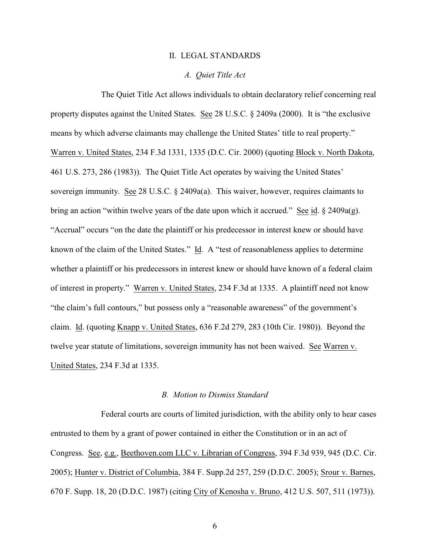#### II. LEGAL STANDARDS

### *A. Quiet Title Act*

The Quiet Title Act allows individuals to obtain declaratory relief concerning real property disputes against the United States. See 28 U.S.C. § 2409a (2000). It is "the exclusive means by which adverse claimants may challenge the United States' title to real property." Warren v. United States, 234 F.3d 1331, 1335 (D.C. Cir. 2000) (quoting Block v. North Dakota, 461 U.S. 273, 286 (1983)). The Quiet Title Act operates by waiving the United States' sovereign immunity. See 28 U.S.C. § 2409a(a). This waiver, however, requires claimants to bring an action "within twelve years of the date upon which it accrued." See id. § 2409a(g). "Accrual" occurs "on the date the plaintiff or his predecessor in interest knew or should have known of the claim of the United States." Id. A "test of reasonableness applies to determine whether a plaintiff or his predecessors in interest knew or should have known of a federal claim of interest in property." Warren v. United States, 234 F.3d at 1335. A plaintiff need not know "the claim's full contours," but possess only a "reasonable awareness" of the government's claim. Id. (quoting Knapp v. United States, 636 F.2d 279, 283 (10th Cir. 1980)). Beyond the twelve year statute of limitations, sovereign immunity has not been waived. See Warren v. United States, 234 F.3d at 1335.

#### *B. Motion to Dismiss Standard*

Federal courts are courts of limited jurisdiction, with the ability only to hear cases entrusted to them by a grant of power contained in either the Constitution or in an act of Congress. See, e.g., Beethoven.com LLC v. Librarian of Congress, 394 F.3d 939, 945 (D.C. Cir. 2005); Hunter v. District of Columbia, 384 F. Supp.2d 257, 259 (D.D.C. 2005); Srour v. Barnes, 670 F. Supp. 18, 20 (D.D.C. 1987) (citing City of Kenosha v. Bruno, 412 U.S. 507, 511 (1973)).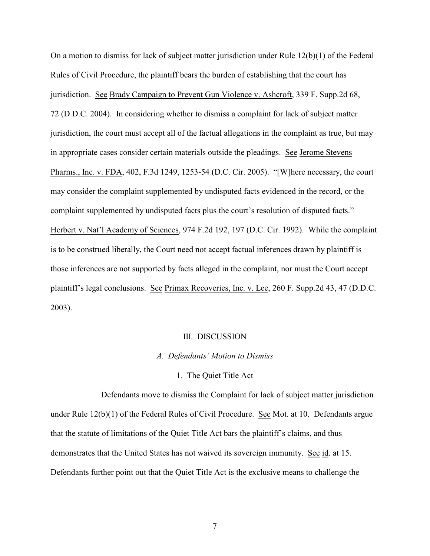On a motion to dismiss for lack of subject matter jurisdiction under Rule 12(b)(1) of the Federal Rules of Civil Procedure, the plaintiff bears the burden of establishing that the court has jurisdiction. See Brady Campaign to Prevent Gun Violence v. Ashcroft, 339 F. Supp.2d 68, 72 (D.D.C. 2004). In considering whether to dismiss a complaint for lack of subject matter jurisdiction, the court must accept all of the factual allegations in the complaint as true, but may in appropriate cases consider certain materials outside the pleadings. See Jerome Stevens Pharms., Inc. v. FDA, 402, F.3d 1249, 1253-54 (D.C. Cir. 2005). "[W]here necessary, the court may consider the complaint supplemented by undisputed facts evidenced in the record, or the complaint supplemented by undisputed facts plus the court's resolution of disputed facts." Herbert v. Nat'l Academy of Sciences, 974 F.2d 192, 197 (D.C. Cir. 1992). While the complaint is to be construed liberally, the Court need not accept factual inferences drawn by plaintiff is those inferences are not supported by facts alleged in the complaint, nor must the Court accept plaintiff's legal conclusions. See Primax Recoveries, Inc. v. Lee, 260 F. Supp.2d 43, 47 (D.D.C. 2003).

#### III. DISCUSSION

#### *A. Defendants' Motion to Dismiss*

# 1. The Quiet Title Act

Defendants move to dismiss the Complaint for lack of subject matter jurisdiction under Rule 12(b)(1) of the Federal Rules of Civil Procedure. See Mot. at 10. Defendants argue that the statute of limitations of the Quiet Title Act bars the plaintiff's claims, and thus demonstrates that the United States has not waived its sovereign immunity. See id. at 15. Defendants further point out that the Quiet Title Act is the exclusive means to challenge the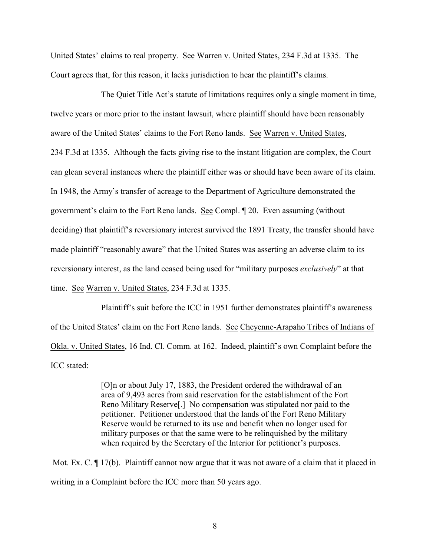United States' claims to real property. See Warren v. United States, 234 F.3d at 1335. The Court agrees that, for this reason, it lacks jurisdiction to hear the plaintiff's claims.

The Quiet Title Act's statute of limitations requires only a single moment in time, twelve years or more prior to the instant lawsuit, where plaintiff should have been reasonably aware of the United States' claims to the Fort Reno lands. See Warren v. United States, 234 F.3d at 1335. Although the facts giving rise to the instant litigation are complex, the Court can glean several instances where the plaintiff either was or should have been aware of its claim. In 1948, the Army's transfer of acreage to the Department of Agriculture demonstrated the government's claim to the Fort Reno lands. See Compl. ¶ 20. Even assuming (without deciding) that plaintiff's reversionary interest survived the 1891 Treaty, the transfer should have made plaintiff "reasonably aware" that the United States was asserting an adverse claim to its reversionary interest, as the land ceased being used for "military purposes *exclusively*" at that time. See Warren v. United States, 234 F.3d at 1335.

Plaintiff's suit before the ICC in 1951 further demonstrates plaintiff's awareness of the United States' claim on the Fort Reno lands. See Cheyenne-Arapaho Tribes of Indians of Okla. v. United States, 16 Ind. Cl. Comm. at 162. Indeed, plaintiff's own Complaint before the ICC stated:

> [O]n or about July 17, 1883, the President ordered the withdrawal of an area of 9,493 acres from said reservation for the establishment of the Fort Reno Military Reserve[.] No compensation was stipulated nor paid to the petitioner. Petitioner understood that the lands of the Fort Reno Military Reserve would be returned to its use and benefit when no longer used for military purposes or that the same were to be relinquished by the military when required by the Secretary of the Interior for petitioner's purposes.

Mot. Ex. C.  $\P$  17(b). Plaintiff cannot now argue that it was not aware of a claim that it placed in writing in a Complaint before the ICC more than 50 years ago.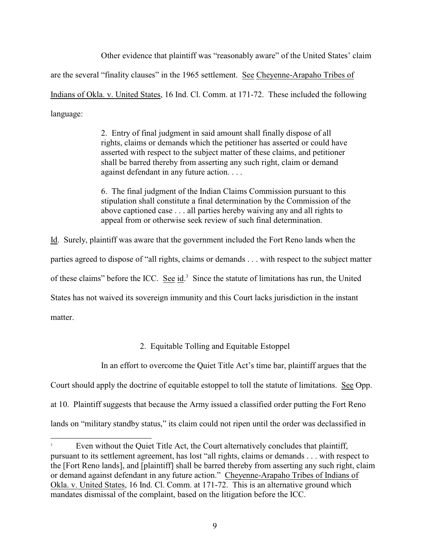Other evidence that plaintiff was "reasonably aware" of the United States' claim are the several "finality clauses" in the 1965 settlement. See Cheyenne-Arapaho Tribes of Indians of Okla. v. United States, 16 Ind. Cl. Comm. at 171-72. These included the following language:

> 2. Entry of final judgment in said amount shall finally dispose of all rights, claims or demands which the petitioner has asserted or could have asserted with respect to the subject matter of these claims, and petitioner shall be barred thereby from asserting any such right, claim or demand against defendant in any future action. . . .

6. The final judgment of the Indian Claims Commission pursuant to this stipulation shall constitute a final determination by the Commission of the above captioned case . . . all parties hereby waiving any and all rights to appeal from or otherwise seek review of such final determination.

Id. Surely, plaintiff was aware that the government included the Fort Reno lands when the parties agreed to dispose of "all rights, claims or demands . . . with respect to the subject matter of these claims" before the ICC. See id.<sup>3</sup> Since the statute of limitations has run, the United States has not waived its sovereign immunity and this Court lacks jurisdiction in the instant matter.

2. Equitable Tolling and Equitable Estoppel

In an effort to overcome the Quiet Title Act's time bar, plaintiff argues that the

Court should apply the doctrine of equitable estoppel to toll the statute of limitations. See Opp.

at 10. Plaintiff suggests that because the Army issued a classified order putting the Fort Reno

lands on "military standby status," its claim could not ripen until the order was declassified in

Even without the Quiet Title Act, the Court alternatively concludes that plaintiff, <sup>3</sup> pursuant to its settlement agreement, has lost "all rights, claims or demands . . . with respect to the [Fort Reno lands], and [plaintiff] shall be barred thereby from asserting any such right, claim or demand against defendant in any future action." Cheyenne-Arapaho Tribes of Indians of Okla. v. United States, 16 Ind. Cl. Comm. at 171-72. This is an alternative ground which mandates dismissal of the complaint, based on the litigation before the ICC.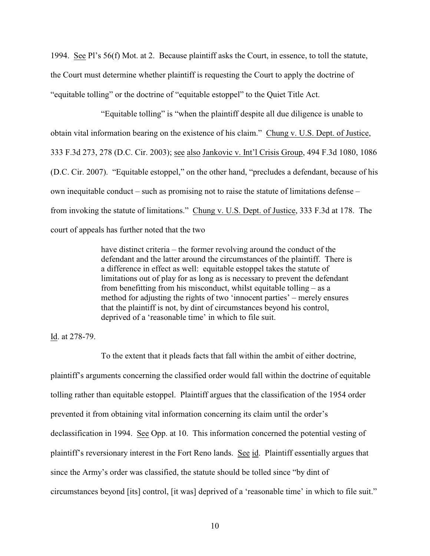1994. See Pl's 56(f) Mot. at 2. Because plaintiff asks the Court, in essence, to toll the statute, the Court must determine whether plaintiff is requesting the Court to apply the doctrine of "equitable tolling" or the doctrine of "equitable estoppel" to the Quiet Title Act.

"Equitable tolling" is "when the plaintiff despite all due diligence is unable to obtain vital information bearing on the existence of his claim." Chung v. U.S. Dept. of Justice, 333 F.3d 273, 278 (D.C. Cir. 2003); see also Jankovic v. Int'l Crisis Group, 494 F.3d 1080, 1086 (D.C. Cir. 2007). "Equitable estoppel," on the other hand, "precludes a defendant, because of his own inequitable conduct – such as promising not to raise the statute of limitations defense – from invoking the statute of limitations." Chung v. U.S. Dept. of Justice, 333 F.3d at 178. The court of appeals has further noted that the two

> have distinct criteria – the former revolving around the conduct of the defendant and the latter around the circumstances of the plaintiff. There is a difference in effect as well: equitable estoppel takes the statute of limitations out of play for as long as is necessary to prevent the defendant from benefitting from his misconduct, whilst equitable tolling – as a method for adjusting the rights of two 'innocent parties' – merely ensures that the plaintiff is not, by dint of circumstances beyond his control, deprived of a 'reasonable time' in which to file suit.

#### Id. at 278-79.

To the extent that it pleads facts that fall within the ambit of either doctrine, plaintiff's arguments concerning the classified order would fall within the doctrine of equitable tolling rather than equitable estoppel. Plaintiff argues that the classification of the 1954 order prevented it from obtaining vital information concerning its claim until the order's declassification in 1994. See Opp. at 10. This information concerned the potential vesting of plaintiff's reversionary interest in the Fort Reno lands. See id. Plaintiff essentially argues that since the Army's order was classified, the statute should be tolled since "by dint of circumstances beyond [its] control, [it was] deprived of a 'reasonable time' in which to file suit."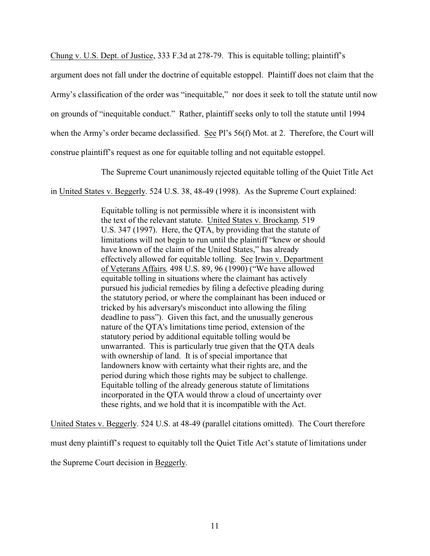Chung v. U.S. Dept. of Justice, 333 F.3d at 278-79. This is equitable tolling; plaintiff's

argument does not fall under the doctrine of equitable estoppel. Plaintiff does not claim that the

Army's classification of the order was "inequitable," nor does it seek to toll the statute until now

on grounds of "inequitable conduct." Rather, plaintiff seeks only to toll the statute until 1994

when the Army's order became declassified. See Pl's 56(f) Mot. at 2. Therefore, the Court will

construe plaintiff's request as one for equitable tolling and not equitable estoppel.

The Supreme Court unanimously rejected equitable tolling of the Quiet Title Act

in United States v. Beggerly. 524 U.S. 38, 48-49 (1998). As the Supreme Court explained:

Equitable tolling is not permissible where it is inconsistent with the text of the relevant statute. United States v. Brockamp*,* 519 U.S. 347 (1997). Here, the QTA, by providing that the statute of limitations will not begin to run until the plaintiff "knew or should have known of the claim of the United States," has already effectively allowed for equitable tolling. See Irwin v. Department of Veterans Affairs*,* 498 U.S. 89, 96 (1990) ("We have allowed equitable tolling in situations where the claimant has actively pursued his judicial remedies by filing a defective pleading during the statutory period, or where the complainant has been induced or tricked by his adversary's misconduct into allowing the filing deadline to pass"). Given this fact, and the unusually generous nature of the QTA's limitations time period, extension of the statutory period by additional equitable tolling would be unwarranted. This is particularly true given that the QTA deals with ownership of land. It is of special importance that landowners know with certainty what their rights are, and the period during which those rights may be subject to challenge. Equitable tolling of the already generous statute of limitations incorporated in the QTA would throw a cloud of uncertainty over these rights, and we hold that it is incompatible with the Act.

United States v. Beggerly. 524 U.S. at 48-49 (parallel citations omitted). The Court therefore must deny plaintiff's request to equitably toll the Quiet Title Act's statute of limitations under the Supreme Court decision in Beggerly.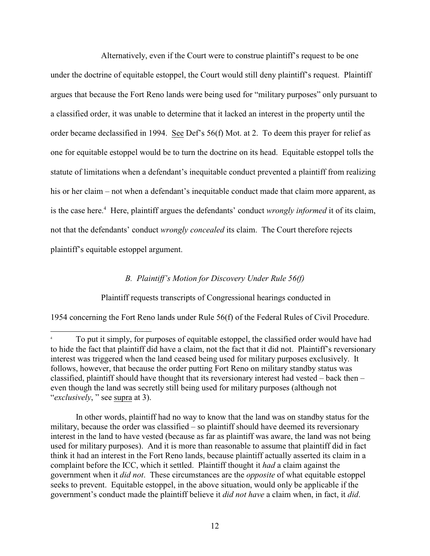Alternatively, even if the Court were to construe plaintiff's request to be one under the doctrine of equitable estoppel, the Court would still deny plaintiff's request. Plaintiff argues that because the Fort Reno lands were being used for "military purposes" only pursuant to a classified order, it was unable to determine that it lacked an interest in the property until the order became declassified in 1994. See Def's 56(f) Mot. at 2. To deem this prayer for relief as one for equitable estoppel would be to turn the doctrine on its head. Equitable estoppel tolls the statute of limitations when a defendant's inequitable conduct prevented a plaintiff from realizing his or her claim – not when a defendant's inequitable conduct made that claim more apparent, as is the case here.<sup>4</sup> Here, plaintiff argues the defendants' conduct *wrongly informed* it of its claim, not that the defendants' conduct *wrongly concealed* its claim. The Court therefore rejects plaintiff's equitable estoppel argument.

# *B. Plaintiff's Motion for Discovery Under Rule 56(f)*

Plaintiff requests transcripts of Congressional hearings conducted in

1954 concerning the Fort Reno lands under Rule 56(f) of the Federal Rules of Civil Procedure.

In other words, plaintiff had no way to know that the land was on standby status for the military, because the order was classified – so plaintiff should have deemed its reversionary interest in the land to have vested (because as far as plaintiff was aware, the land was not being used for military purposes). And it is more than reasonable to assume that plaintiff did in fact think it had an interest in the Fort Reno lands, because plaintiff actually asserted its claim in a complaint before the ICC, which it settled. Plaintiff thought it *had* a claim against the government when it *did not*. These circumstances are the *opposite* of what equitable estoppel seeks to prevent. Equitable estoppel, in the above situation, would only be applicable if the government's conduct made the plaintiff believe it *did not have* a claim when, in fact, it *did*.

To put it simply, for purposes of equitable estoppel, the classified order would have had <sup>4</sup> to hide the fact that plaintiff did have a claim, not the fact that it did not. Plaintiff's reversionary interest was triggered when the land ceased being used for military purposes exclusively. It follows, however, that because the order putting Fort Reno on military standby status was classified, plaintiff should have thought that its reversionary interest had vested – back then – even though the land was secretly still being used for military purposes (although not "*exclusively*, " see supra at 3).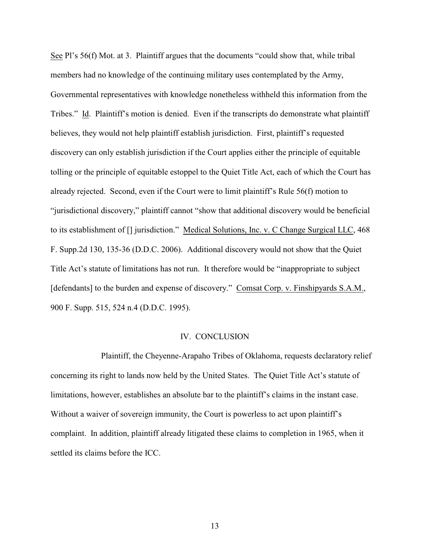See Pl's 56(f) Mot. at 3. Plaintiff argues that the documents "could show that, while tribal members had no knowledge of the continuing military uses contemplated by the Army, Governmental representatives with knowledge nonetheless withheld this information from the Tribes." Id. Plaintiff's motion is denied. Even if the transcripts do demonstrate what plaintiff believes, they would not help plaintiff establish jurisdiction. First, plaintiff's requested discovery can only establish jurisdiction if the Court applies either the principle of equitable tolling or the principle of equitable estoppel to the Quiet Title Act, each of which the Court has already rejected. Second, even if the Court were to limit plaintiff's Rule 56(f) motion to "jurisdictional discovery," plaintiff cannot "show that additional discovery would be beneficial to its establishment of [] jurisdiction." Medical Solutions, Inc. v. C Change Surgical LLC, 468 F. Supp.2d 130, 135-36 (D.D.C. 2006). Additional discovery would not show that the Quiet Title Act's statute of limitations has not run. It therefore would be "inappropriate to subject [defendants] to the burden and expense of discovery." Comsat Corp. v. Finshipyards S.A.M., 900 F. Supp. 515, 524 n.4 (D.D.C. 1995).

#### IV. CONCLUSION

Plaintiff, the Cheyenne-Arapaho Tribes of Oklahoma, requests declaratory relief concerning its right to lands now held by the United States. The Quiet Title Act's statute of limitations, however, establishes an absolute bar to the plaintiff's claims in the instant case. Without a waiver of sovereign immunity, the Court is powerless to act upon plaintiff's complaint. In addition, plaintiff already litigated these claims to completion in 1965, when it settled its claims before the ICC.

13